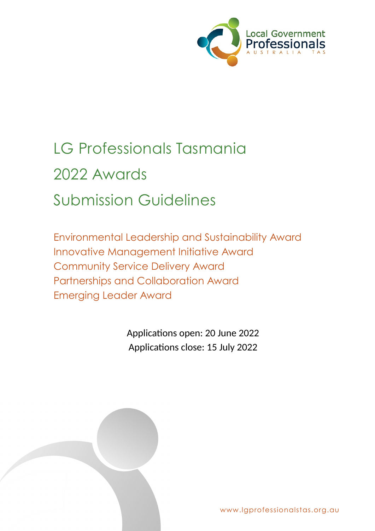

# LG Professionals Tasmania 2022 Awards Submission Guidelines

Environmental Leadership and Sustainability Award Innovative Management Initiative Award Community Service Delivery Award Partnerships and Collaboration Award Emerging Leader Award

> Applications open: 20 June 2022 Applications close: 15 July 2022



www.lgprofessionalstas.org.au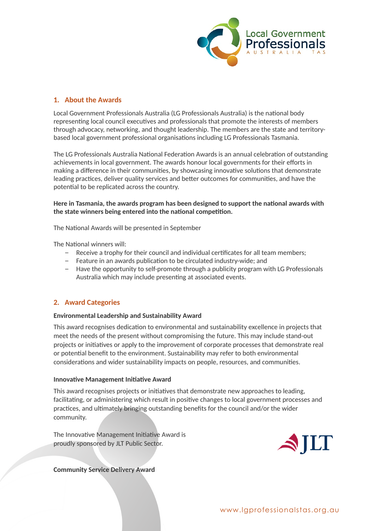

## **1. About the Awards**

Local Government Professionals Australia (LG Professionals Australia) is the national body representing local council executives and professionals that promote the interests of members through advocacy, networking, and thought leadership. The members are the state and territorybased local government professional organisations including LG Professionals Tasmania.

The LG Professionals Australia National Federation Awards is an annual celebration of outstanding achievements in local government. The awards honour local governments for their efforts in making a difference in their communities, by showcasing innovative solutions that demonstrate leading practices, deliver quality services and better outcomes for communities, and have the potential to be replicated across the country.

## **Here in Tasmania, the awards program has been designed to support the national awards with the state winners being entered into the national competition.**

The National Awards will be presented in September

The National winners will:

- − Receive a trophy for their council and individual certificates for all team members;
- − Feature in an awards publication to be circulated industry-wide; and
- − Have the opportunity to self-promote through a publicity program with LG Professionals Australia which may include presenting at associated events.

# **2. Award Categories**

## **Environmental Leadership and Sustainability Award**

This award recognises dedication to environmental and sustainability excellence in projects that meet the needs of the present without compromising the future. This may include stand-out projects or initiatives or apply to the improvement of corporate processes that demonstrate real or potential benefit to the environment. Sustainability may refer to both environmental considerations and wider sustainability impacts on people, resources, and communities.

## **Innovative Management Initiative Award**

This award recognises projects or initiatives that demonstrate new approaches to leading, facilitating, or administering which result in positive changes to local government processes and practices, and ultimately bringing outstanding benefits for the council and/or the wider community.

The Innovative Management Initiative Award is proudly sponsored by JLT Public Sector.



**Community Service Delivery Award**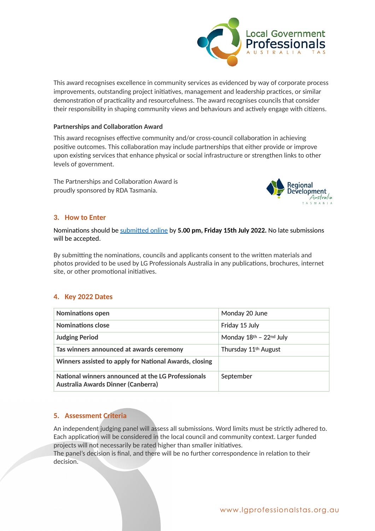

This award recognises excellence in community services as evidenced by way of corporate process improvements, outstanding project initiatives, management and leadership practices, or similar demonstration of practicality and resourcefulness. The award recognises councils that consider their responsibility in shaping community views and behaviours and actively engage with citizens.

## **Partnerships and Collaboration Award**

This award recognises effective community and/or cross-council collaboration in achieving positive outcomes. This collaboration may include partnerships that either provide or improve upon existing services that enhance physical or social infrastructure or strengthen links to other levels of government.

The Partnerships and Collaboration Award is proudly sponsored by RDA Tasmania.



## **3. How to Enter**

Nominations should be [submitted online](https://lgprofessionalstas.org.au/awards/award-application/) by **5.00 pm, Friday 15th July 2022.** No late submissions will be accepted.

By submitting the nominations, councils and applicants consent to the written materials and photos provided to be used by LG Professionals Australia in any publications, brochures, internet site, or other promotional initiatives.

# **4. Key 2022 Dates**

| <b>Nominations open</b>                                                                  | Monday 20 June                   |
|------------------------------------------------------------------------------------------|----------------------------------|
| Nominations close                                                                        | Friday 15 July                   |
| <b>Judging Period</b>                                                                    | Monday 18th - 22nd July          |
| Tas winners announced at awards ceremony                                                 | Thursday 11 <sup>th</sup> August |
| Winners assisted to apply for National Awards, closing                                   |                                  |
| National winners announced at the LG Professionals<br>Australia Awards Dinner (Canberra) | September                        |

## **5. Assessment Criteria**

An independent judging panel will assess all submissions. Word limits must be strictly adhered to. Each application will be considered in the local council and community context. Larger funded projects will not necessarily be rated higher than smaller initiatives.

The panel's decision is final, and there will be no further correspondence in relation to their decision.